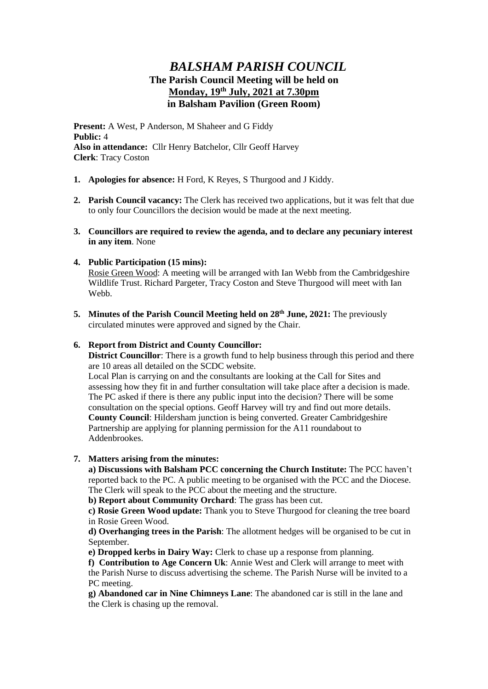# *BALSHAM PARISH COUNCIL* **The Parish Council Meeting will be held on Monday, 19th July, 2021 at 7.30pm in Balsham Pavilion (Green Room)**

**Present:** A West, P Anderson, M Shaheer and G Fiddy **Public:** 4 **Also in attendance:** Cllr Henry Batchelor, Cllr Geoff Harvey **Clerk**: Tracy Coston

- **1. Apologies for absence:** H Ford, K Reyes, S Thurgood and J Kiddy.
- **2. Parish Council vacancy:** The Clerk has received two applications, but it was felt that due to only four Councillors the decision would be made at the next meeting.
- **3. Councillors are required to review the agenda, and to declare any pecuniary interest in any item**. None

### **4. Public Participation (15 mins):**

Rosie Green Wood: A meeting will be arranged with Ian Webb from the Cambridgeshire Wildlife Trust. Richard Pargeter, Tracy Coston and Steve Thurgood will meet with Ian Webb.

**5. Minutes of the Parish Council Meeting held on 28th June, 2021:** The previously circulated minutes were approved and signed by the Chair.

#### **6. Report from District and County Councillor:**

**District Councillor**: There is a growth fund to help business through this period and there are 10 areas all detailed on the SCDC website.

Local Plan is carrying on and the consultants are looking at the Call for Sites and assessing how they fit in and further consultation will take place after a decision is made. The PC asked if there is there any public input into the decision? There will be some consultation on the special options. Geoff Harvey will try and find out more details. **County Council**: Hildersham junction is being converted. Greater Cambridgeshire Partnership are applying for planning permission for the A11 roundabout to Addenbrookes.

#### **7. Matters arising from the minutes:**

**a) Discussions with Balsham PCC concerning the Church Institute:** The PCC haven't reported back to the PC. A public meeting to be organised with the PCC and the Diocese. The Clerk will speak to the PCC about the meeting and the structure.

**b) Report about Community Orchard**: The grass has been cut.

**c) Rosie Green Wood update:** Thank you to Steve Thurgood for cleaning the tree board in Rosie Green Wood.

**d) Overhanging trees in the Parish**: The allotment hedges will be organised to be cut in September.

**e) Dropped kerbs in Dairy Way:** Clerk to chase up a response from planning.

**f) Contribution to Age Concern Uk**: Annie West and Clerk will arrange to meet with the Parish Nurse to discuss advertising the scheme. The Parish Nurse will be invited to a PC meeting.

**g) Abandoned car in Nine Chimneys Lane**: The abandoned car is still in the lane and the Clerk is chasing up the removal.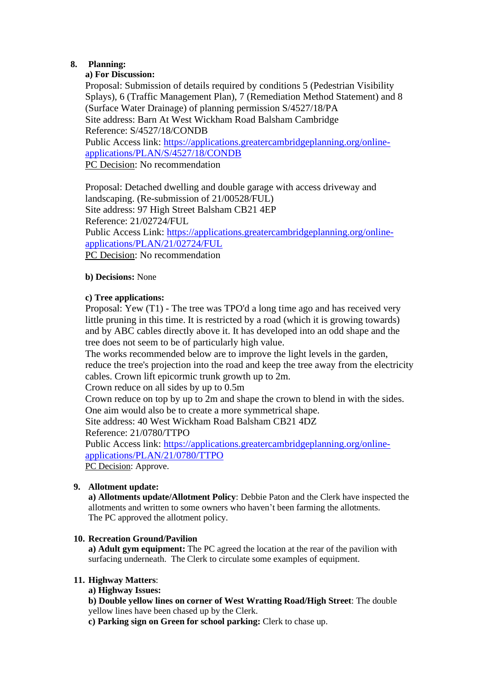# **8. Planning:**

# **a) For Discussion:**

Proposal: Submission of details required by conditions 5 (Pedestrian Visibility Splays), 6 (Traffic Management Plan), 7 (Remediation Method Statement) and 8 (Surface Water Drainage) of planning permission S/4527/18/PA Site address: Barn At West Wickham Road Balsham Cambridge Reference: S/4527/18/CONDB Public Access link: [https://applications.greatercambridgeplanning.org/online](https://applications.greatercambridgeplanning.org/online-applications/PLAN/S/4527/18/CONDB)[applications/PLAN/S/4527/18/CONDB](https://applications.greatercambridgeplanning.org/online-applications/PLAN/S/4527/18/CONDB) PC Decision: No recommendation

Proposal: Detached dwelling and double garage with access driveway and landscaping. (Re-submission of 21/00528/FUL) Site address: 97 High Street Balsham CB21 4EP Reference: 21/02724/FUL Public Access Link: [https://applications.greatercambridgeplanning.org/online](https://applications.greatercambridgeplanning.org/online-applications/PLAN/21/02724/FUL)[applications/PLAN/21/02724/FUL](https://applications.greatercambridgeplanning.org/online-applications/PLAN/21/02724/FUL) PC Decision: No recommendation

### **b) Decisions:** None

### **c) Tree applications:**

Proposal: Yew (T1) - The tree was TPO'd a long time ago and has received very little pruning in this time. It is restricted by a road (which it is growing towards) and by ABC cables directly above it. It has developed into an odd shape and the tree does not seem to be of particularly high value.

The works recommended below are to improve the light levels in the garden, reduce the tree's projection into the road and keep the tree away from the electricity cables. Crown lift epicormic trunk growth up to 2m.

Crown reduce on all sides by up to 0.5m

Crown reduce on top by up to 2m and shape the crown to blend in with the sides. One aim would also be to create a more symmetrical shape.

Site address: 40 West Wickham Road Balsham CB21 4DZ

Reference: 21/0780/TTPO

Public Access link: [https://applications.greatercambridgeplanning.org/online](https://applications.greatercambridgeplanning.org/online-applications/PLAN/21/0780/TTPO)[applications/PLAN/21/0780/TTPO](https://applications.greatercambridgeplanning.org/online-applications/PLAN/21/0780/TTPO)

PC Decision: Approve.

### **9. Allotment update:**

**a) Allotments update/Allotment Policy**: Debbie Paton and the Clerk have inspected the allotments and written to some owners who haven't been farming the allotments. The PC approved the allotment policy.

### **10. Recreation Ground/Pavilion**

**a) Adult gym equipment:** The PC agreed the location at the rear of the pavilion with surfacing underneath. The Clerk to circulate some examples of equipment.

### **11. Highway Matters**:

**a) Highway Issues:**

**b) Double yellow lines on corner of West Wratting Road/High Street**: The double yellow lines have been chased up by the Clerk.

**c) Parking sign on Green for school parking:** Clerk to chase up.